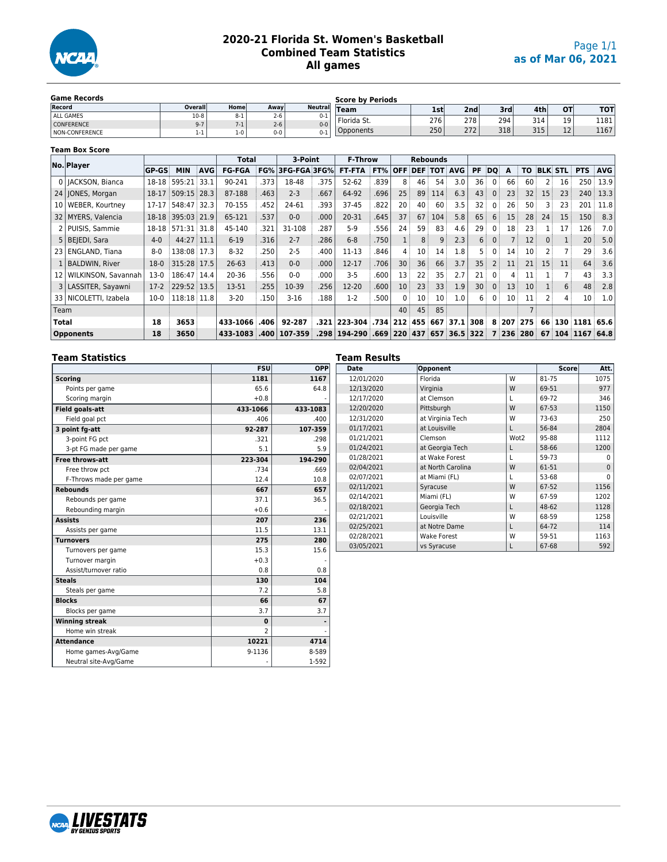

# **2020-21 Florida St. Women's Basketball Combined Team Statistics All games**

| <b>Game Records</b> |         | <b>Score by Periods</b> |         |                |               |     |                  |     |                  |           |      |
|---------------------|---------|-------------------------|---------|----------------|---------------|-----|------------------|-----|------------------|-----------|------|
| Record              | Overall | Home                    | Away    | <b>Neutral</b> | Team          | 1st | 2nd <sub>i</sub> | 3rd | 4th <sub>1</sub> | <b>OT</b> | TOT  |
| ALL GAMES           | $10-8$  | $8 - 1$                 | $2 - 6$ | $0 - 1$        | ' Florida St. | 276 | 278              | 294 | 314              | 19        | 1181 |
| <b>CONFERENCE</b>   | $9 - 7$ | 7-1                     | $2 - 6$ | $0 - 0$        |               |     |                  |     |                  |           |      |
| NON-CONFERENCE      | $1 - 1$ | $1 - 0$                 | $0 - 0$ | $0 - 1$        | Opponents     | 250 | 272              | 318 | 315              | 12        | 1167 |

#### **Team Box Score**

|                 | No. Player              |              |                   |            | Total         |             | 3-Point          |      | <b>F-Throw</b>    |      |            |         | <b>Rebounds</b> |                    |     |                |                 |                |          |                |                  |            |
|-----------------|-------------------------|--------------|-------------------|------------|---------------|-------------|------------------|------|-------------------|------|------------|---------|-----------------|--------------------|-----|----------------|-----------------|----------------|----------|----------------|------------------|------------|
|                 |                         | <b>GP-GS</b> | <b>MIN</b>        | <b>AVG</b> | <b>FG-FGA</b> |             | FG% 3FG-FGA 3FG% |      | <b>FT-FTA</b>     | FT%  | <b>OFF</b> |         |                 | <b>DEF TOT AVG</b> | PF  | DO             | A               | TO.            |          | <b>BLK STL</b> | <b>PTS</b>       | <b>AVG</b> |
|                 | 0   IACKSON, Bianca     |              | 18-18 595:21      | 33.1       | 90-241        | .373        | 18-48            | .375 | $52 - 62$         | .839 | 8          | 46      | 54              | 3.0                | 36  | $\Omega$       | 66              | 60             | 2        | 16             | 250              | 13.9       |
|                 | 24   JONES, Morgan      | 18-17        | 509:15 28.3       |            | 87-188        | .463        | $2 - 3$          | .667 | 64-92             | .696 | 25         | 89      | 114             | 6.3                | 43  | $\mathbf{0}$   | 23              | 32             | 15       | 23             | 240              | 13.3       |
| 10 I            | WEBER, Kourtney         | 17-17        | 548:47 32.3       |            | 70-155        | .452        | 24-61            | .393 | $37 - 45$         | .822 | 20         | 40      | 60              | 3.5                | 32  | $\mathbf{0}$   | 26              | 50             | 3        | 23             | 201              | 11.8       |
|                 | 32   MYERS, Valencia    |              | 18-18 395:03 21.9 |            | 65-121        | 537         | $0 - 0$          | .000 | 20-31             | .645 | 37         | 67      | 104             | 5.8                | 65  | 6              | 15              | 28             | 24       | 15             | 150              | 8.3        |
|                 | 2   PUISIS, Sammie      | $18 - 18$    | 571:31 31.8       |            | 45-140        | .321        | 31-108           | .287 | $5-9$             | .556 | 24         | 59      | 83              | 4.6                | 29  | $\Omega$       | 18              | 23             |          | 17             | 126              | 7.0        |
|                 | 5   BEJEDI, Sara        | $4-0$        | 44:27 11.1        |            | $6 - 19$      | .316        | $2 - 7$          | .286 | $6 - 8$           | .750 |            | 8       | 9               | 2.3                | 6   | 0 <sup>3</sup> |                 | 12             | $\Omega$ |                | 20 <sup>3</sup>  | 5.0        |
|                 | 23   ENGLAND, Tiana     | $8-0$        | 138:08 17.3       |            | $8 - 32$      | .250        | $2 - 5$          | .400 | $11 - 13$         | .846 |            | 10      | 14              | 1.8                |     | 0              | 14:             | 10             |          |                | 29               | 3.6        |
|                 | 1   BALDWIN, River      | $18-0$       | 315:28 17.5       |            | $26 - 63$     | .413        | $0 - 0$          | .000 | 12-17             | .706 | 30         | 36      | 66              | 3.7                | 35  |                | 11              | 21             | 15       | 11             | 64               | 3.6        |
| 12 <sub>1</sub> | WILKINSON, Savannah     | $13-0$       | 186:47 14.4       |            | 20-36         | .556        | $0 - 0$          | .000 | $3 - 5$           | .600 | 13         | 22      | 35              | 2.7                | 21  | $\Omega$       | 4               | 11             |          | 7              | 43               | 3.3        |
|                 | 3   LASSITER, Sayawni   | $17-2$       | 229:52 13.5       |            | 13-51         | .255        | 10-39            | .256 | 12-20             | .600 | 10         | 23      | 33              | 1.9                | 30  | $\Omega$       | 13              | 10             |          | 6              | 48               | 2.8        |
|                 | 33   NICOLETTI, Izabela | $10-0$       | 118:18 11.8       |            | $3 - 20$      | 150         | $3-16$           | .188 | $1-2$             | .500 | $\Omega$   | 10      | 10              | 1.0                | 6   | $\Omega$       | 10 <sup>1</sup> | 11             |          | 4              | 10               | 1.0        |
| Team            |                         |              |                   |            |               |             |                  |      |                   |      | 40         | 45      | 85              |                    |     |                |                 | $\overline{7}$ |          |                |                  |            |
| Total           |                         | 18           | 3653              |            | 433-1066      | .406        | 92-287           |      | .321 223-304 .734 |      | 212        | 455     | 667             | 37.1               | 308 |                | 8 207           | 275            | 66       |                | 130 1181 65.6    |            |
|                 | <b>Opponents</b>        | 18           | 3650              |            | 433-1083      | $.400 \mid$ | 107-359          | .298 | 194-290 .669      |      | 220        | 437 657 |                 | $36.5$ 322         |     | $\overline{ }$ |                 | 236 280        |          |                | 67 104 1167 64.8 |            |

#### **Team Statistics**

|                        | <b>FSU</b>               | OPP      |
|------------------------|--------------------------|----------|
| <b>Scoring</b>         | 1181                     | 1167     |
| Points per game        | 65.6                     | 64.8     |
| Scoring margin         | $+0.8$                   |          |
| <b>Field goals-att</b> | 433-1066                 | 433-1083 |
| Field goal pct         | .406                     | .400     |
| 3 point fg-att         | 92-287                   | 107-359  |
| 3-point FG pct         | .321                     | .298     |
| 3-pt FG made per game  | 5.1                      | 5.9      |
| Free throws-att        | 223-304                  | 194-290  |
| Free throw pct         | .734                     | .669     |
| F-Throws made per game | 12.4                     | 10.8     |
| <b>Rebounds</b>        | 667                      | 657      |
| Rebounds per game      | 37.1                     | 36.5     |
| Rebounding margin      | $+0.6$                   |          |
| <b>Assists</b>         | 207                      | 236      |
| Assists per game       | 11.5                     | 13.1     |
| <b>Turnovers</b>       | 275                      | 280      |
| Turnovers per game     | 15.3                     | 15.6     |
| Turnover margin        | $+0.3$                   |          |
| Assist/turnover ratio  | 0.8                      | 0.8      |
| <b>Steals</b>          | 130                      | 104      |
| Steals per game        | 7.2                      | 5.8      |
| <b>Blocks</b>          | 66                       | 67       |
| Blocks per game        | 3.7                      | 3.7      |
| <b>Winning streak</b>  | $\bf{0}$                 |          |
| Home win streak        | $\overline{\phantom{0}}$ |          |
| <b>Attendance</b>      | 10221                    | 4714     |
| Home games-Avg/Game    | 9-1136                   | 8-589    |
| Neutral site-Avg/Game  |                          | 1-592    |

| <b>Team Results</b><br><b>Date</b> | Opponent           |                  | <b>Score</b> | Att.     |
|------------------------------------|--------------------|------------------|--------------|----------|
| 12/01/2020                         | Florida            | W                | 81-75        | 1075     |
| 12/13/2020                         | Virginia           | W                | 69-51        | 977      |
| 12/17/2020                         | at Clemson         |                  | 69-72        | 346      |
| 12/20/2020                         | Pittsburgh         | W                | 67-53        | 1150     |
| 12/31/2020                         | at Virginia Tech   | W                | 73-63        | 250      |
| 01/17/2021                         | at Louisville      | L                | 56-84        | 2804     |
| 01/21/2021                         | Clemson            | Wot <sub>2</sub> | 95-88        | 1112     |
| 01/24/2021                         | at Georgia Tech    | L                | 58-66        | 1200     |
| 01/28/2021                         | at Wake Forest     |                  | 59-73        | $\Omega$ |
| 02/04/2021                         | at North Carolina  | W                | 61-51        | $\Omega$ |
| 02/07/2021                         | at Miami (FL)      |                  | 53-68        | $\Omega$ |
| 02/11/2021                         | Syracuse           | W                | 67-52        | 1156     |
| 02/14/2021                         | Miami (FL)         | W                | 67-59        | 1202     |
| 02/18/2021                         | Georgia Tech       | L                | 48-62        | 1128     |
| 02/21/2021                         | Louisville         | W                | 68-59        | 1258     |
| 02/25/2021                         | at Notre Dame      | L                | 64-72        | 114      |
| 02/28/2021                         | <b>Wake Forest</b> | W                | 59-51        | 1163     |
| 03/05/2021                         | vs Syracuse        |                  | 67-68        | 592      |